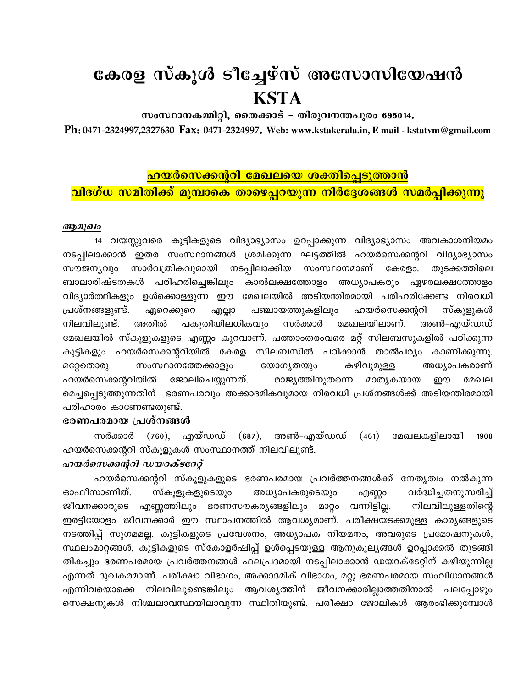# കേരള സ്കൂൾ ടീച്ചേഴ്സ് അസോസിയേഷൻ **KSTA**

സംസ്ഥാനകമ്മിറ്റി, തൈക്കാട് – തിരുവനന്തപുരം 695014.

Ph: 0471-2324997,2327630 Fax: 0471-2324997. Web: www.kstakerala.in, E mail - kstatym@gmail.com

## <mark>ഹയർസെക്കന്ററി മേഖലയെ ശക്തിപ്പെടുത്താൻ</mark>

## വിദഗ്ധ സമിതിക്ക് മുമ്പാകെ താഴെപ്പറയുന്ന നിർദ്ദേശങ്ങൾ സമർപ്പിക്കുന്നു

#### ആമുഖം

14 വയസ്സുവരെ കുട്ടികളുടെ വിദ്യാഭ്യാസം ഉറപ്പാക്കുന്ന വിദ്യാഭ്യാസം അവകാശനിയമം . ഇതര സംസ്ഥാനങ്ങൾ ശ്രമിക്കുന്ന ഘട്ടത്തിൽ ഹയർസെക്കന്ററി വിദ്യാഭ്യാസം നടപിലാക്കാൻ സാർവത്രികവുമായി നടപ്പിലാക്കിയ സംസ്ഥാനമാണ് കേരളം. സൗജന്യവും തുടക്കത്തിലെ ബാലാരിഷ്ടതകൾ പരിഹരിച്ചെങ്കിലും കാൽലക്ഷത്തോളം അധ്യാപകരും ഏഴരലക്ഷത്തോളം വിദ്യാർത്ഥികളും ഉൾക്കൊള്ളുന്ന ഈ മേഖലയിൽ അടിയന്തിരമായി പരിഹരിക്കേണ്ട നിരവധി പ്രശ്നങ്ങളുണ്ട്. പഞ്ചായത്തുകളിലും ഹയർസെക്കന്ററി സ്കൂളുകൾ ഏറെക്കുറെ എല്ലാ പകുതിയിലധികവും നിലവിലുണ്ട്. അതിൽ സർക്കാർ മേഖലയിലാണ്. അൺ-എയ്ഡഡ് മേഖലയിൽ സ്കൂളുകളുടെ എണ്ണം കുറവാണ്. പത്താംതരംവരെ മറ്റ് സിലബസുകളിൽ പഠിക്കുന്ന കുട്ടികളും ഹയർസെക്കന്ററിയിൽ കേരള സിലബസിൽ പഠിക്കാൻ താൽപര്യം കാണിക്കുന്നു. സംസ്ഥാനത്തേക്കാളും യോഗ്യതയും കഴിവുമുള്ള അധ്യാപകരാണ് മറ്റേതൊരു ഹയർസെക്കന്ററിയിൽ ജോലിചെയ്യുന്നത്. രാജ്യത്തിനുതന്നെ മാതൃകയായ ഈ മേഖല മെച്ചപ്പെടുത്തുന്നതിന് ഭരണപരവും അക്കാദമികവുമായ നിരവധി പ്രശ്നങ്ങൾക്ക് അടിയന്തിരമായി പരിഹാരം കാണേണ്ടതുണ്ട്.

## ഭരണപരമായ പ്രശ്നങ്ങൾ

സർക്കാർ (760), എയ്ഡഡ് (687), അൺ–എയ്ഡഡ്  $(461)$ മേഖലകളിലായി 1908 ഹയർസെക്കന്ററി സ്കൂളുകൾ സംസ്ഥാനത്ത് നിലവിലുണ്ട്.

## ഹയർസെക്കന്ററി ഡയറക്ടറേറ്റ്

ഹയർസെക്കന്ററി സ്കൂളുകളുടെ ഭരണപരമായ പ്രവർത്തനങ്ങൾക്ക് നേതൃത്വം നൽകുന്ന ഓഫീസാണിത്. സ്കുളുകളുടെയും അധ്യാപകരുടെയും വർദ്ധിച്ചതനുസരിച്ച് എണ്ണം ജീവനക്കാരുടെ എണ്ണത്തിലും ഭരണസൗകര്യങ്ങളിലും മാറ്റം വന്നിട്ടില്ല. നിലവിലുള്ളതിന്റെ ഇരട്ടിയോളം ജീവനക്കാർ ഈ സ്ഥാപനത്തിൽ ആവശ്യമാണ്. പരീക്ഷയടക്കമുള്ള കാര്യങ്ങളുടെ നടത്തിപ്പ് സുഗമമല്ല. കുട്ടികളുടെ പ്രവേശനം, അധ്യാപക നിയമനം, അവരുടെ പ്രമോഷനുകൾ, സ്ഥലംമാറ്റങ്ങൾ, കുട്ടികളുടെ സ്കോളർഷിപ്പ് ഉൾപ്പെടയുള്ള ആനുകൂല്യങ്ങൾ ഉറപ്പാക്കൽ തുടങ്ങി തികച്ചും ഭരണപരമായ പ്രവർത്തനങ്ങൾ ഫലപ്രദമായി നടപ്പിലാക്കാൻ ഡയറക്ടേറ്റിന് കഴിയുന്നില്ല എന്നത് ദുഖകരമാണ്. പരീക്ഷാ വിഭാഗം, അക്കാദമിക് വിഭാഗം, മറ്റു ഭരണപരമായ സംവിധാനങ്ങൾ എന്നിവയൊക്കെ നിലവിലുണ്ടെങ്കിലും ആവശ്യത്തിന് ജീവനക്കാരില്ലാത്തതിനാൽ പലപ്പോഴും സെക്ഷനുകൾ നിശ്ചലാവസ്ഥയിലാവുന്ന സ്ഥിതിയുണ്ട്. പരീക്ഷാ ജോലികൾ ആരംഭിക്കുമ്പോൾ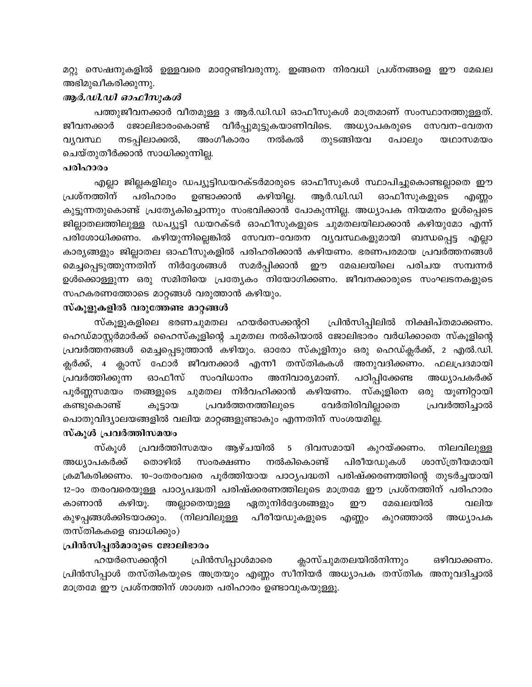മറ്റു സെഷനുകളിൽ ഉള്ളവരെ മാറ്റേണ്ടിവരുന്നു. ഇങ്ങനെ നിരവധി പ്രശ്നങ്ങളെ ഈ മേഖല അഭിമുഖീകരിക്കുന്നു.

## ആർ.ഡി.ഡി ഓഫീസുകൾ

പത്തുജീവനക്കാർ വീതമുള്ള 3 ആർ.ഡി.ഡി ഓഫീസുകൾ മാത്രമാണ് സംസ്ഥാനത്തുള്ളത്. ജോലിഭാരംകൊണ്ട് വീർപ്പുമുട്ടുകയാണിവിടെ. ജീവനക്കാർ അധ്യാപകരുടെ സേവന-വേതന നൽകൽ വ്യവസ്ഥ നടപ്പിലാക്കൽ, അംഗീകാരം തുടങ്ങിയവ പോലും യഥാസമയം ചെയ്തുതീർക്കാൻ സാധിക്കുന്നില്ല.

#### പരിഹാരം

എല്ലാ ജില്ലകളിലും ഡപ്യൂട്ടിഡയറക്ടർമാരുടെ ഓഫീസുകൾ സ്ഥാപിച്ചുകൊണ്ടല്ലാതെ ഈ കഴിയില്ല. പ്രശ്നത്തിന് ആർ.ഡി.ഡി പരിഹാരം ഉണ്ടാക്കാൻ ഓഫീസുകളുടെ എണ്ണം കുട്ടൂന്നതുകൊണ്ട് പ്രത്യേകിച്ചൊന്നും സംഭവിക്കാൻ പോകുന്നില്ല. അധ്യാപക നിയമനം ഉൾപ്പെടെ ജില്ലാതലത്തിലുള്ള ഡപ്യൂട്ടി ഡയറക്ടർ ഓഫീസുകളുടെ ചുമതലയിലാക്കാൻ കഴിയുമോ എന്ന് പരിശോധിക്കണം. കഴിയുന്നില്ലെങ്കിൽ സേവന-വേതന വ്യവസ്ഥകളുമായി ബന്ധപ്പെട്ട എല്ലാ കാര്യങ്ങളും ജില്ലാതല ഓഫീസുകളിൽ പരിഹരിക്കാൻ കഴിയണം. ഭരണപരമായ പ്രവർത്തനങ്ങൾ സമർപ്പിക്കാൻ മെച്ചപ്പെടുത്തുന്നതിന് നിർദ്ദേശങ്ങൾ ഈ മേഖലയിലെ പരിചയ സമ്പന്നർ ഉൾക്കൊള്ളുന്ന ഒരു സമിതിയെ പ്രത്യേകം നിയോഗിക്കണം. ജീവനക്കാരുടെ സംഘടനകളുടെ സഹകരണത്തോടെ മാറ്റങ്ങൾ വരുത്താൻ കഴിയും.

#### സ്കൂളുകളിൽ വരുത്തേണ്ട മാറ്റങ്ങൾ

സ്കൂളുകളിലെ ഭരണചുമതല ഹയർസെക്കന്ററി പ്രിൻസിപ്പിലിൽ നിക്ഷിപ്തമാക്കണം. ഹെഡ്മാസ്റ്റർമാർക്ക് ഹൈസ്കൂളിന്റെ ചുമതല നൽകിയാൽ ജോലിഭാരം വർധിക്കാതെ സ്കൂളിന്റെ പ്രവർത്തനങ്ങൾ മെച്ചപ്പെടുത്താൻ കഴിയും. ഓരോ സ്കൂളിനും ഒരു ഹെഡ്ക്ലർക്ക്, 2 എൽ.ഡി. ക്ലർക്ക്, 4 ക്ലാസ് ഫോർ ജീവനക്കാർ എന്നീ തസ്തികകൾ അനുവദിക്കണം. ഫലപ്രദമായി സംവിധാനം അനിവാര്യമാണ്. പ്രവർത്തിക്കുന്ന ഓഫീസ് പഠിപ്പിക്കേണ്ട അധ്യാപകർക്ക് കഴിയണം. സ്കൂളിനെ പൂർണ്ണസമയം തങ്ങളുടെ ചുമതല നിർവഹിക്കാൻ ഒരു യൂണിറ്റായി പ്രവർത്തനത്തിലുടെ വേർതിരിവില്ലാതെ പ്രവർത്തിച്ചാൽ കണ്ടുകൊണ്ട് കൂട്ടായ പൊതുവിദ്യാലയങ്ങളിൽ വലിയ മാറ്റങ്ങളുണ്ടാകും എന്നതിന് സംശയമില്ല.

## സ്കൂൾ പ്രവർത്തിസമയം

സ്കൂൾ പ്രവർത്തിസമയം ആഴ്ചയിൽ ദിവസമായി  $5\overline{)}$ കുറയ്ക്കണം. നിലവിലുള്ള അധ്യാപകർക്ക് തൊഴിൽ സംരക്ഷണം നൽകികൊണ്ട് പിരീയഡുകൾ ശാസ്ത്രീയമായി ക്രമീകരിക്കണം. 10-ാംതരംവരെ പൂർത്തിയായ പാഠൃപദ്ധതി പരിഷ്ക്കരണത്തിന്റെ തുടർച്ചയായി 12-ാം തരംവരെയുള്ള പാഠ്യപദ്ധതി പരിഷ്ക്കരണത്തിലൂടെ മാത്രമേ ഈ പ്രശ്നത്തിന് പരിഹാരം കാണാൻ കഴിയൂ. അല്ലാതെയുള്ള ഏതുനിർദ്ദേശങ്ങളും ഈ മേഖലയിൽ വലിയ (നിലവിലുള്ള പീരീയഡുകളുടെ കുഴപ്പങ്ങൾക്കിടയാക്കും. എണ്ണം കുറഞ്ഞാൽ അധ്യാപക തസ്തികകളെ ബാധിക്കും)

#### പ്രിൻസിപ്പൽമാരുടെ ജോലിഭാരം

പ്രിൻസിപ്പാൾമാരെ ക്ലാസ്ചുമതലയിൽനിന്നും ഒഴിവാക്കണം. ഹയർസെക്കന്ററി പ്രിൻസിപ്പാൾ തസ്തികയുടെ അത്രയും എണ്ണം സീനിയർ അധ്യാപക തസ്തിക അനുവദിച്ചാൽ മാത്രമേ ഈ പ്രശ്നത്തിന് ശാശ്വത പരിഹാരം ഉണ്ടാവുകയുള്ളൂ.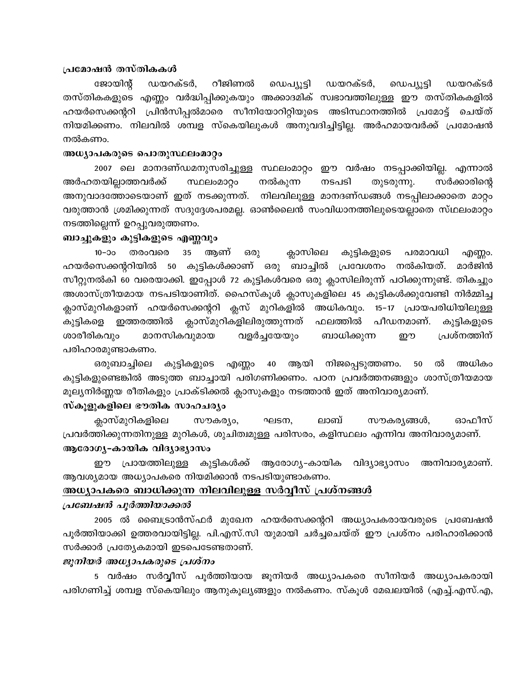## പ്രമോഷൻ തസ്തികകൾ

ഡയറക്ടർ, റീജിണൽ ഡയറക്ടർ, ജോയിന്റ് ഡെപ്യൂട്ടി ഡെപ്യൂട്ടി ഡയറക്ടർ തസ്തികകളുടെ എണ്ണം വർദ്ധിപ്പിക്കുകയും അക്കാദമിക് സ്വഭാവത്തിലുള്ള ഈ തസ്തികകളിൽ ഹയർസെക്കന്ററി പ്രിൻസിപ്പൽമാരെ സീനിയോറിറ്റിയുടെ അടിസ്ഥാനത്തിൽ പ്രമോട്ട് ചെയ്ത് നിയമിക്കണം. നിലവിൽ ശമ്പള സ്കെയിലുകൾ അനുവദിച്ചിട്ടില്ല. അർഹമായവർക്ക് പ്രമോഷൻ നൽകണം.

#### അധ്യാപകരുടെ പൊതുസ്ഥലംമാറ്റം

2007 ലെ മാനദണ്ഡമനുസരിച്ചുള്ള സ്ഥലംമാറ്റം ഈ വർഷം നടപ്പാക്കിയില്ല. എന്നാൽ നൽകുന്ന അർഹതയില്ലാത്തവർക്ക് സ്ഥലംമാറ്റം നടപടി തുടരുന്നു. സർക്കാരിന്റെ അനുവാദത്തോടെയാണ് ഇത് നടക്കുന്നത്. നിലവിലുള്ള മാനദണ്ഡങ്ങൾ നടപ്പിലാക്കാതെ മാറ്റം വരുത്താൻ ശ്രമിക്കുന്നത് സദുദ്ദേശപരമല്ല. ഓൺലൈൻ സംവിധാനത്തിലുടെയല്ലാതെ സ്ഥലംമാറ്റം നടത്തില്ലെന്ന് ഉറപ്പുവരുത്തണം.

#### ബാച്ചുകളും കുട്ടികളുടെ എണ്ണവും

 $10 - 20$ തരംവരെ  $35<sub>1</sub>$ ആണ് ക്ലാസിലെ ഒരു കുട്ടികളുടെ പരമാവധി എണ്ണാ. ഹയർസെക്കന്ററിയിൽ 50 കുട്ടികൾക്കാണ് ഒരു ബാച്ചിൽ പ്രവേശനം നൽകിയത്. മാർജിൻ സീറ്റുനൽകി 60 വരെയാക്കി. ഇപ്പോൾ 72 കുട്ടികൾവരെ ഒരു ക്ലാസിലിരുന്ന് പഠിക്കുന്നുണ്ട്. തികച്ചും അശാസ്ത്രീയമായ നടപടിയാണിത്. ഹൈസ്കൂൾ ക്ലാസുകളിലെ 45 കുട്ടികൾക്കുവേണ്ടി നിർമ്മിച്ച അധികവും. ക്ലാസ്മുറികളാണ് ഹയർസെക്കന്ററി ക്ലസ് മുറികളിൽ 15-17 പ്രായപരിധിയിലുള്ള കുട്ടികളെ ഇത്തരത്തിൽ ക്ലാസ്മുറികളിലിരുത്തുന്നത് ഫലത്തിൽ പീഡനമാണ്. കുട്ടികളുടെ ബാധിക്കുന്ന പ്രശ്നത്തിന് മാനസികവുമായ വളർച്ചയേയും று ശാരീരികവും പരിഹാരമുണ്ടാകണം.

ഒരുബാച്ചിലെ കുട്ടികളുടെ എണ്ണാ 40 ആയി നിജപ്പെടുത്തണം. 50 ൽ അധികം കുട്ടികളുണ്ടെങ്കിൽ അടുത്ത ബാച്ചായി പരിഗണിക്കണം. പഠന പ്രവർത്തനങ്ങളും ശാസ്ത്രീയമായ മൂല്യനിർണ്ണയ രീതികളും പ്രാക്ടിക്കൽ ക്ലാസുകളും നടത്താൻ ഇത് അനിവാര്യമാണ്.

## സ്കുളുകളിലെ ഭൗതിക സാഹചര്യം

ക്ലാസ്മുറികളിലെ ഓഫീസ് സൗകര്യം, ഘടന, ലാബ് സൗകര്യങ്ങൾ, പ്രവർത്തിക്കുന്നതിനുള്ള മുറികൾ, ശുചിത്വമുള്ള പരിസരം, കളിസ്ഥലം എന്നിവ അനിവാര്യമാണ്. ആരോഗൃ-കായിക വിദ്യാഭ്യാസം

പ്രായത്തിലുള്ള കുട്ടികൾക്ക് ആരോഗ്യ-കായിക വിദ്യാഭ്യാസം അനിവാര്യമാണ്. ഈ ആവശ്യമായ അധ്യാപകരെ നിയമിക്കാൻ നടപടിയുണ്ടാകണം.

#### <u>അധ്യാപകരെ ബാധിക്കുന്ന നിലവിലുള്ള സർവ്വീസ് പ്രശ്നങ്ങൾ </u>

#### പ്രബേഷൻ പൂർത്തിയാക്കൽ

2005 ൽ ബൈട്രാൻസ്ഫർ മുഖേന ഹയർസെക്കന്ററി അധ്യാപകരായവരുടെ പ്രബേഷൻ പൂർത്തിയാക്കി ഉത്തരവായിട്ടില്ല. പി.എസ്.സി യുമായി ചർച്ചചെയ്ത് ഈ പ്രശ്നം പരിഹാരിക്കാൻ സർക്കാർ പ്രത്യേകമായി ഇടപെടേണ്ടതാണ്.

## ജൂനിയർ അധ്യാപകരുടെ പ്രശ്നം

5 വർഷം സർവ്വീസ് പൂർത്തിയായ ജൂനിയർ അധ്യാപകരെ സീനിയർ അധ്യാപകരായി പരിഗണിച്ച് ശമ്പള സ്കെയിലും ആനുകൂല്യങ്ങളും നൽകണം. സ്കൂൾ മേഖലയിൽ (എച്ച്.എസ്.എ,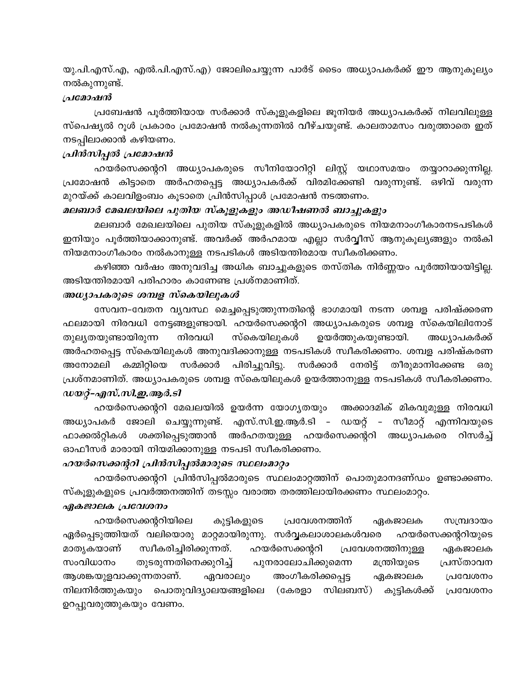യു.പി.എസ്.എ, എൽ.പി.എസ്.എ) ജോലിചെയ്യുന്ന പാർട് ടൈം അധ്യാപകർക്ക് ഈ ആനുകൂല്യം നൽകുന്നുണ്ട്.

#### പ്രമോഷൻ

പ്രബേഷൻ പൂർത്തിയായ സർക്കാർ സ്കൂളുകളിലെ ജൂനിയർ അധ്യാപകർക്ക് നിലവിലുള്ള സ്പെഷ്യൽ റൂൾ പ്രകാരം പ്രമോഷൻ നൽകുന്നതിൽ വീഴ്ചയുണ്ട്. കാലതാമസം വരുത്താതെ ഇത് നടപ്പിലാക്കാൻ കഴിയണം.

## പ്രിൻസിപ്പൽ പ്രമോഷൻ

ഹയർസെക്കന്ററി അധ്യാപകരുടെ സീനിയോറിറ്റി ലിസ്റ്റ് യഥാസമയം തയ്യാറാക്കുന്നില്ല. പ്രമോഷൻ കിട്ടാതെ അർഹതപ്പെട്ട അധ്യാപകർക്ക് വിരമിക്കേണ്ടി വരുന്നുണ്ട്. ഒഴിവ് വരുന്ന മുറയ്ക്ക് കാലവിളംബം കൂടാതെ പ്രിൻസിപ്പാൾ പ്രമോഷൻ നടത്തണം.

## മലബാർ മേഖലയിലെ പുതിയ സ്കൂളുകളും അഡീഷണൽ ബാച്ചുകളും

മലബാർ മേഖലയിലെ പുതിയ സ്കൂളുകളിൽ അധ്യാപകരുടെ നിയമനാംഗീകാരനടപടികൾ ഇനിയും പൂർത്തിയാക്കാനുണ്ട്. അവർക്ക് അർഹമായ എല്ലാ സർവ്വീസ് ആനുകൂല്യങ്ങളും നൽകി നിയമനാംഗീകാരം നൽകാനുള്ള നടപടികൾ അടിയന്തിരമായ സ്വീകരിക്കണം.

കഴിഞ്ഞ വർഷം അനുവദിച്ച അധിക ബാച്ചുകളുടെ തസ്തിക നിർണ്ണയം പൂർത്തിയായിട്ടില്ല. അടിയന്തിരമായി പരിഹാരം കാണേണ്ട പ്രശ്നമാണിത്.

## അധ്യാപകരുടെ ശമ്പള സ്കെയിലുകൾ

സേവന-വേതന വൃവസ്ഥ മെച്ചപ്പെടുത്തുന്നതിന്റെ ഭാഗമായി നടന്ന ശമ്പള പരിഷ്ക്കരണ ഫലമായി നിരവധി നേട്ടങ്ങളുണ്ടായി. ഹയർസെക്കന്ററി അധ്യാപകരുടെ ശമ്പള സ്കെയിലിനോട് തുല്യതയുണ്ടായിരുന്ന നിരവധി സ്കെയിലുകൾ ഉയർത്തുകയുണ്ടായി. അധ്യാപകർക്ക് അർഹതപ്പെട്ട സ്കെയിലുകൾ അനുവദിക്കാനുള്ള നടപടികൾ സ്വീകരിക്കണം. ശമ്പള പരിഷ്കരണ കമ്മിറ്റിയെ സർക്കാർ പിരിച്ചുവിട്ടു. സർക്കാർ നേരിട്ട് തീരുമാനിക്കേണ്ട അനോമലി ഒരു പ്രശ്നമാണിത്. അധ്യാപകരുടെ ശമ്പള സ്കെയിലുകൾ ഉയർത്താനുള്ള നടപടികൾ സ്വീകരിക്കണം. *ഡയറ്റ്-എസ്.സി.ഇ.ആർ.ടി* 

ഹയർസെക്കന്ററി മേഖലയിൽ ഉയർന്ന യോഗൃതയും അക്കാദമിക് മികവുമുള്ള നിരവധി അധ്യാപകർ ജോലി ചെയ്യുന്നുണ്ട്. എസ്.സി.ഇ.ആർ.ടി - ഡയറ്റ് - സീമാറ്റ് എന്നിവയുടെ ഫാക്കൽറ്റികൾ ശക്തിപ്പെടുത്താൻ അർഹതയുള്ള ഹയർസെക്കന്ററി അധ്യാപകരെ റിസർച്ച് ഓഫീസർ മാരായി നിയമിക്കാനുള്ള നടപടി സ്വീകരിക്കണം.

## ഹയർസെക്കന്ററി പ്രിനിസിപ്പൽമാരുടെ സ്ഥലംമാറ്റം

ഹയർസെക്കന്ററി പ്രിൻസിപ്പൽമാരുടെ സ്ഥലംമാറ്റത്തിന് പൊതുമാനദണ്ഡം ഉണ്ടാക്കണം. സ്കൂളുകളുടെ പ്രവർത്തനത്തിന് തടസ്സം വരാത്ത തരത്തിലായിരക്കണം സ്ഥലംമാറ്റം.

## ഏകജാലക പ്രവേശനം

ഹയർസെക്കന്ററിയിലെ പ്രവേശനത്തിന് കുട്ടികളുടെ ഏകജാലക സമ്പ്രദായം ഏർപ്പെടുത്തിയത് വലിയൊരു മാറ്റമായിരുന്നു. സർവ്വകലാശാലകൾവരെ ഹയർസെക്കന്ററിയുടെ സ്വീകരിച്ചിരിക്കുന്നത്. ഹയർസെക്കന്ററി പ്രവേശനത്തിനുള്ള മാതൃകയാണ് ഏകജാലക സംവിധാനം തുടരുന്നതിനെക്കുറിച്ച് പുനരാലോചിക്കുമെന്ന മന്ത്രിയുടെ പ്രസ്താവന ആശങ്കയുളവാക്കുന്നതാണ്. അംഗീകരിക്കപ്പെട്ട ഏവരാലും ഏകജാലക പ്രവേശനം നിലനിർത്തുകയും പൊതുവിദ്യാലയങ്ങളിലെ (കേരളാ സിലബസ്) കുട്ടികൾക്ക് പ്രവേശനം ഉറപ്പുവരുത്തുകയും വേണം.